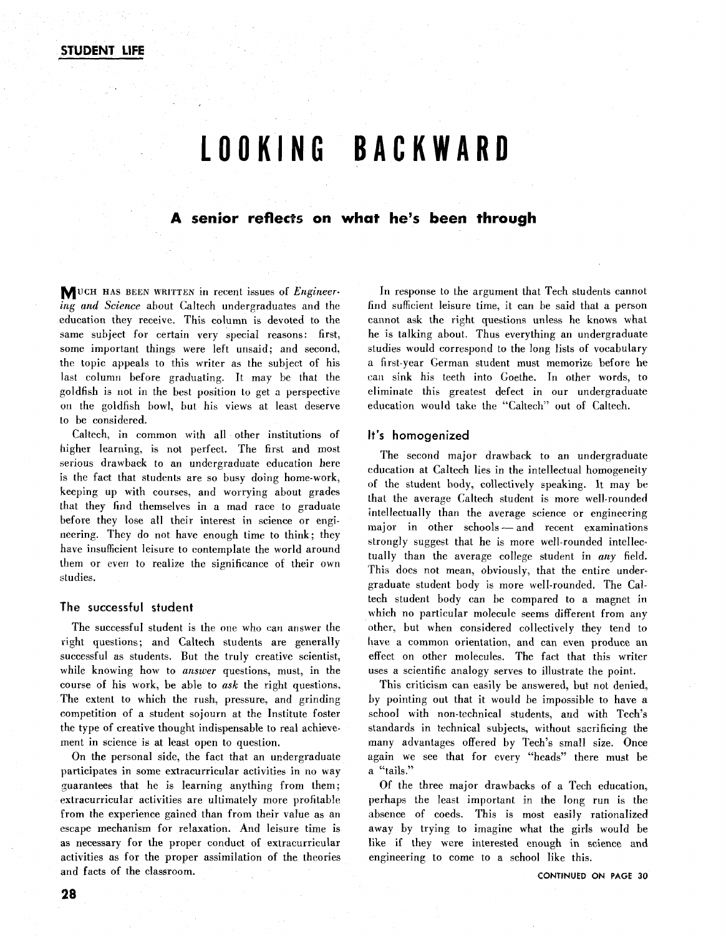# LOOKING BACKWARD

### **A senior reflects on what he's been through**

**MUCH** HAS BEEN WRITTEN in recent issues of *Engineering and Science* about Caltech undergraduates and the education they receive. This column is devoted to the same subject for certain very special reasons: first, some important things were left unsaid; and second, the topic appeals to this writer as the subject of his last column before graduating. It may be that the goldfish is not in the best position to get *a* perspective on the goldfish bowl, but his views at least deserve to be considered.

Caltech, in common with all other institutions of higher learning, is not perfect. The first and most serious drawback to an undergraduate education here is the fact that students are so busy doing home-work, keeping up with courses, and worrying about grades that they find themselves in a mad race to graduate before they lose all their interest in science or engineering. They do not have enough time to think; they have insufficient leisure to contemplate the world around them or even to realize the significance of their own studies.

#### **The successful student**

The successful student is the one who can answer the right questions; and Caltech students are generally successful as students. But the truly creative scientist, while knowing how to *answer* questions, must, in the course of his work, be able to *ask* the right questions. The extent to which the rush, pressure, and grinding competition of a student sojourn at the Institute foster the type of creative thought indispensable to real achievement in science is at least open to question.

On the personal side, the fact that an undergraduate participates in some extracurricular activities in no way guarantees that he is learning anything from them; extracurricular activities are ultimately more profitable from the experience gained than from their value as an escape mechanism for relaxation. And leisure time is as necessary for the proper conduct of extracurricular activities as for the proper assimilation of the theories and facts of the classroom.

In response to the argument that Tech students cannot find sufficient leisure time, it can be said that a person cannot ask the right questions unless he knows what he is talking about. Thus everything an undergraduate studies would correspond to the long lists of vocabulary a first-year German student must memorize before he can sink his teeth into Goethe. In other words, to eliminate this greatest defect in our undergraduate education would take the "Caltech" out of Caltech.

#### **It's homogenized**

The second major drawback to an undergraduate education at Caltech lies in the intellectual homogeneity of the student body, collectively speaking. It may be that the average Caltech student is more well-rounded intellectually than the average science or engineering that the average Caltech student is more well-rounded<br>intellectually than the average science or engineering<br>major in other schools - and recent examinations strongly suggest that he is more well-rounded intellectually than the average college student in *any* field. This does not mean, obviously, that the entire undergraduate student body is more well-rounded. The Caltech student body can be compared to a magnet in which no particular molecule seems different from any other, but when considered collectively they tend to have a common orientation, and can even produce an effect on other molecules. The fact that this writer uses a scientific analogy serves to illustrate the point.

This criticism can easily be answered, but not denied, by pointing out that it would be impossible to have a school with non-technical students, and with Tech's standards in technical subjects, without sacrificing the many advantages offered by Tech's small size. Once again we see that for every "heads" there must be a "tails."

Of the three major drawbacks of a Tech education, perhaps the least important in the long run is the absence of coeds. This is most easily rationalized away by trying to imagine what the girls would be like if they were interested enough in science and engineering to come to a school like this.